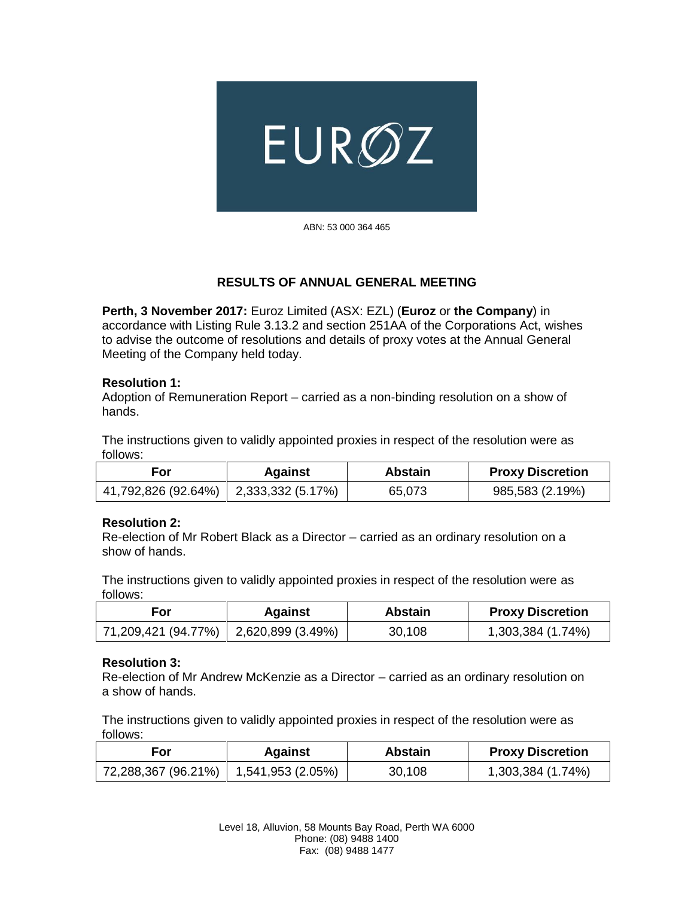

ABN: 53 000 364 465

# **RESULTS OF ANNUAL GENERAL MEETING**

**Perth, 3 November 2017:** Euroz Limited (ASX: EZL) (**Euroz** or **the Company**) in accordance with Listing Rule 3.13.2 and section 251AA of the Corporations Act, wishes to advise the outcome of resolutions and details of proxy votes at the Annual General Meeting of the Company held today.

## **Resolution 1:**

Adoption of Remuneration Report – carried as a non-binding resolution on a show of hands.

The instructions given to validly appointed proxies in respect of the resolution were as follows:

| For                                     | <b>Against</b> | <b>Abstain</b> | <b>Proxy Discretion</b> |
|-----------------------------------------|----------------|----------------|-------------------------|
| 41,792,826 (92.64%)   2,333,332 (5.17%) |                | 65,073         | 985,583 (2.19%)         |

#### **Resolution 2:**

Re-election of Mr Robert Black as a Director – carried as an ordinary resolution on a show of hands.

The instructions given to validly appointed proxies in respect of the resolution were as follows:

| For                                     | Against | Abstain | <b>Proxy Discretion</b> |
|-----------------------------------------|---------|---------|-------------------------|
| 71,209,421 (94.77%)   2,620,899 (3.49%) |         | 30,108  | 1,303,384 (1.74%)       |

#### **Resolution 3:**

Re-election of Mr Andrew McKenzie as a Director – carried as an ordinary resolution on a show of hands.

The instructions given to validly appointed proxies in respect of the resolution were as follows:

| For                                     | <b>Against</b> | <b>Abstain</b> | <b>Proxy Discretion</b> |
|-----------------------------------------|----------------|----------------|-------------------------|
| 72,288,367 (96.21%)   1,541,953 (2.05%) |                | 30,108         | 1,303,384 (1.74%)       |